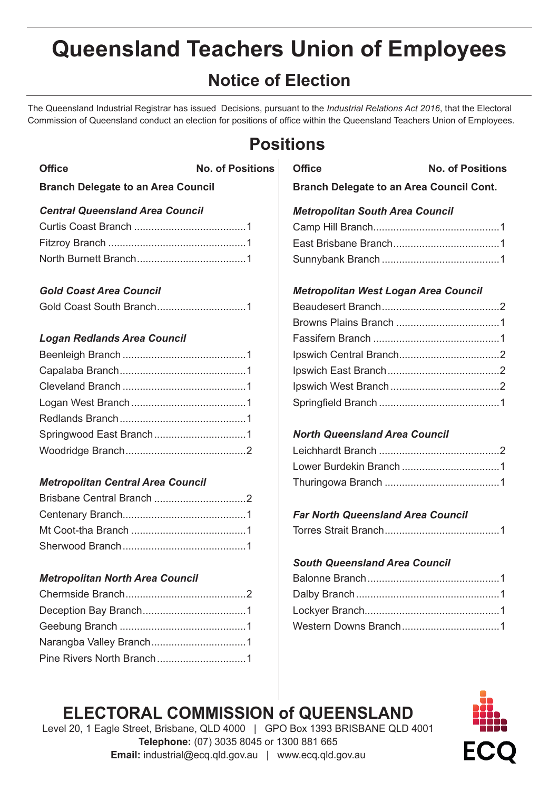# **Queensland Teachers Union of Employees**

# **Notice of Election**

The Queensland Industrial Registrar has issued Decisions, pursuant to the *Industrial Relations Act 2016*, that the Electoral Commission of Queensland conduct an election for positions of office within the Queensland Teachers Union of Employees.

# **Positions**

| <b>Office</b>                             | No. of Positions | <b>Office</b> |
|-------------------------------------------|------------------|---------------|
| <b>Branch Delegate to an Area Council</b> |                  | <b>Branc</b>  |
| <b>Central Queensland Area Council</b>    |                  | <b>Metro</b>  |
|                                           |                  | Camp          |
|                                           |                  | East B        |
|                                           |                  | Sunny         |
|                                           |                  |               |

#### *Gold Coast Area Council*

#### *Logan Redlands Area Council*

#### *Metropolitan Central Area Council*

#### *Metropolitan North Area Council*

### **Branch Delegate to an Area Council Cont.** *Metropolitan South Area Council* Camp Hill Branch............................................1 East Brisbane Branch.....................................1 Sunnybank Branch .........................................1

**No. of Positions** 

#### *Metropolitan West Logan Area Council*

#### *North Queensland Area Council*

#### *Far North Queensland Area Council*

|--|--|

#### *South Queensland Area Council*

# **ELECTORAL COMMISSION of QUEENSLAND**

Level 20, 1 Eagle Street, Brisbane, QLD 4000 | GPO Box 1393 BRISBANE QLD 4001 **Telephone:** (07) 3035 8045 or 1300 881 665 **Email:** industrial@ecq.qld.gov.au | www.ecq.qld.gov.au

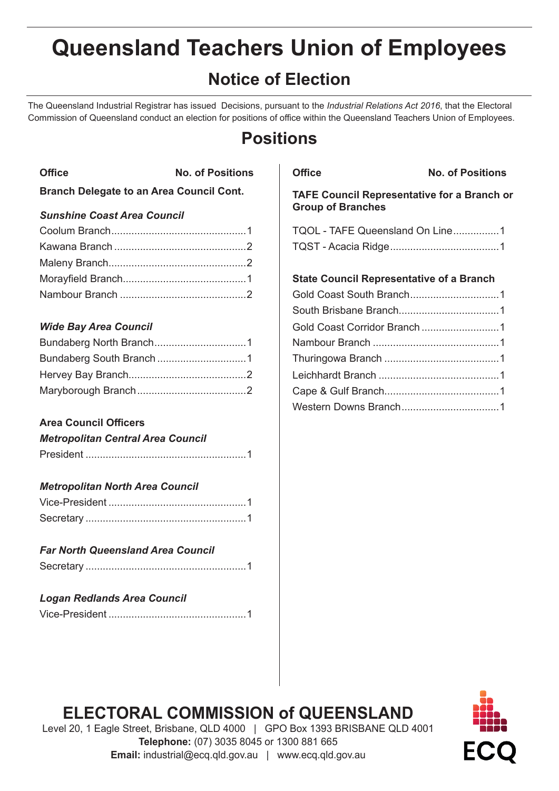# **Queensland Teachers Union of Employees**

# **Notice of Election**

The Queensland Industrial Registrar has issued Decisions, pursuant to the *Industrial Relations Act 2016*, that the Electoral Commission of Queensland conduct an election for positions of office within the Queensland Teachers Union of Employees.

# **Positions**

| <b>Office</b> | <b>No. of Positions</b>                         |
|---------------|-------------------------------------------------|
|               | <b>Branch Delegate to an Area Council Cont.</b> |

#### *Sunshine Coast Area Council*

#### *Wide Bay Area Council*

#### **Area Council Officers**

| <b>Metropolitan Central Area Council</b> |
|------------------------------------------|
|                                          |

#### *Metropolitan North Area Council*

| <b>Far North Queensland Area Council</b> |  |
|------------------------------------------|--|
|                                          |  |

| <b>Logan Redlands Area Council</b> |  |
|------------------------------------|--|
|                                    |  |

**Office No. of Positions**

**TAFE Council Representative for a Branch or Group of Branches**

| TQOL - TAFE Queensland On Line1 |  |
|---------------------------------|--|
|                                 |  |

#### **State Council Representative of a Branch**

| Gold Coast Corridor Branch1 |
|-----------------------------|
|                             |
|                             |
|                             |
|                             |
|                             |
|                             |

# **ELECTORAL COMMISSION of QUEENSLAND**



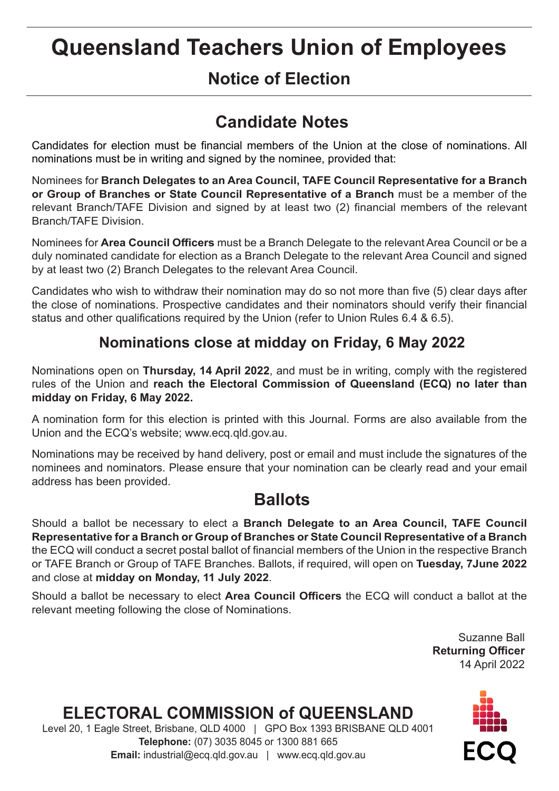# **Queensland Teachers Union of Employees**

# **Notice of Election**

# **Candidate Notes**

Candidates for election must be financial members of the Union at the close of nominations. All nominations must be in writing and signed by the nominee, provided that:

Nominees for **Branch Delegates to an Area Council, TAFE Council Representative for a Branch or Group of Branches or State Council Representative of a Branch** must be a member of the relevant Branch/TAFE Division and signed by at least two (2) financial members of the relevant Branch/TAFE Division.

Nominees for **Area Council Officers** must be a Branch Delegate to the relevant Area Council or be a duly nominated candidate for election as a Branch Delegate to the relevant Area Council and signed by at least two (2) Branch Delegates to the relevant Area Council.

Candidates who wish to withdraw their nomination may do so not more than five (5) clear days after the close of nominations. Prospective candidates and their nominators should verify their financial status and other qualifications required by the Union (refer to Union Rules 6.4 & 6.5).

### **Nominations close at midday on Friday, 6 May 2022**

Nominations open on **Thursday, 14 April 2022**, and must be in writing, comply with the registered rules of the Union and **reach the Electoral Commission of Queensland (ECQ) no later than midday on Friday, 6 May 2022.**

A nomination form for this election is printed with this Journal. Forms are also available from the Union and the ECQ's website; www.ecq.qld.gov.au.

Nominations may be received by hand delivery, post or email and must include the signatures of the nominees and nominators. Please ensure that your nomination can be clearly read and your email address has been provided.

# **Ballots**

Should a ballot be necessary to elect a **Branch Delegate to an Area Council, TAFE Council Representative for a Branch or Group of Branches or State Council Representative of a Branch**  the ECQ will conduct a secret postal ballot of financial members of the Union in the respective Branch or TAFE Branch or Group of TAFE Branches. Ballots, if required, will open on **Tuesday, 7June 2022** and close at **midday on Monday, 11 July 2022**.

Should a ballot be necessary to elect **Area Council Officers** the ECQ will conduct a ballot at the relevant meeting following the close of Nominations.

> Suzanne Ball **Returning Officer** 14 April 2022

# **ELECTORAL COMMISSION of QUEENSLAND**

Level 20, 1 Eagle Street, Brisbane, QLD 4000 | GPO Box 1393 BRISBANE QLD 4001 **Telephone:** (07) 3035 8045 or 1300 881 665 **Email:** industrial@ecq.qld.gov.au | www.ecq.qld.gov.au